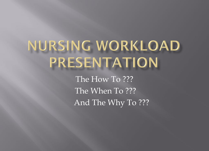# NURSING WORKLOAD PRESENTATION

The How To ??? The When To ??? And The Why To ???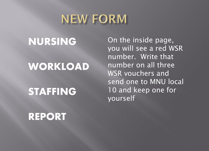# **NEW FORM**

## NURSING

#### $\overline{a}$ WORKLOAD

### STAFFING

On the inside page, you will see a red WSR number. Write that number on all three WSR vouchers and send one to MNU local 10 and keep one for yourself

### REPORT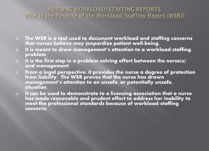#### NURSING WORKLOAD/STAFFING REPORTS What is the Purpose of the Workload/Staffing Report (WSR)?

- □ The WSR is a tool used to document workload and staffing concerns i that nurses believe may jeopardize patient well-being.
- $\Box$  It is meant to draw management's attention to a workload/staffing problem.
- $\Box$  It is the first step in a problem solving effort between the nurse(s) and management.
- $\Box$  From a legal perspective, it provides the nurse a degree of protection from liability. The WSR proves that the nurse has drawn management's attention to an unsafe, or potentially unsafe, situation.
- $\Box$  It can be used to demonstrate to a licensing association that a nurse has made reasonable and prudent effort to address her inability to meet the professional standards because of workload/staffing concerns.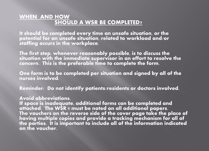#### **WHEN AND HOW SHOULD A WSR BE COMPLETED?**

It should be completed every time an unsafe situation, or the potential for an unsafe situation, related to workload and/or staffing occurs in the workplace.

The first step, whenever reasonably possible, is to discuss the situation with the immediate supervisor in an effort to resolve the concern. This is the preferable time to complete the form.

One form is to be completed per situation and signed by all of the nurses involved.

Reminder: Do not identify patients/residents or doctors involved.

#### Avoid abbreviations.

If space is inadequate, additional forms can be completed and attached. **The WSR # must be noted on all additional papers.** The vouchers on the reverse side of the cover page take the place of having multiple copies and provide a tracking mechanism for all of the parties. It is important to include all of the information indicated on the voucher.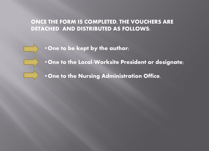#### ONCE THE FORM IS COMPLETED, THE VOUCHERS ARE DETACHED AND DISTRIBUTED AS FOLLOWS:

- •One to be kept by the author;
- •One to the Local/Worksite President or designate;
- •One to the Nursing Administration Office.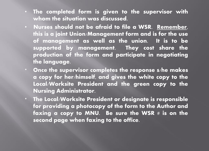- The completed form is given to the supervisor with whom the situation was discussed.
- Nurses should not be afraid to file a WSR. Remember, this is a joint Union/Management form and is for the use of management as well as the union. It is to be supported by management. They cost share the production of the form and participate in negotiating the language.
- \* Once the supervisor completes the response s/he makes a copy for her/himself, and gives the white copy to the Local/Worksite President and the green copy to the Nursing Administrator.
- \* The Local/Worksite President or designate is responsible for providing a photocopy of the form to the Author and faxing a copy to MNU. Be sure the WSR  $#$  is on the second page when faxing to the office.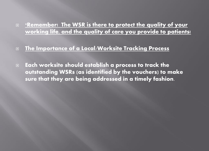#### **E** \*Remember! The WSR is there to protect the quality of your **working life, and the quality of care you provide to patients!**

#### **The Importance of a Local/Worksite Tracking Process**

 $\Box$  Each worksite should establish a process to track the outstanding WSRs (as identified by the vouchers) to make sure that they are being addressed in a timely fashion.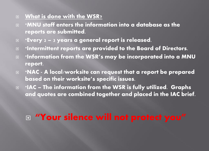#### **What is done with the WSR?**

- **E** \*MNU staff enters the information into a database as the reports are submitted.
- **Exery 2 3 years a general report is released.**
- **E** \*Intermittent reports are provided to the Board of Directors.
- $\square$  \*Information from the WSR's may be incorporated into a MNU report.
- **E** \*NAC A local/worksite can request that a report be prepared based on their worksite's specific issues.
- **E** \*IAC The information from the WSR is fully utilized. Graphs and quotes are combined together and placed in the IAC brief.

### **"Your silence will not protect you"**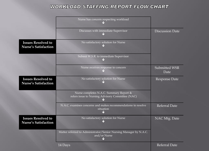#### **WORKLOAD STAFFING REPORT FLOW CHART**

|                                                          | Nurse has concern respecting workload                                                       |                        |
|----------------------------------------------------------|---------------------------------------------------------------------------------------------|------------------------|
|                                                          | Discusses with immediate Supervisor                                                         | <b>Discussion Date</b> |
| <b>Issues Resolved to</b><br><b>Nurse's Satisfaction</b> | No satisfactory solution for Nurse                                                          |                        |
|                                                          | Submit W.S.R. to immediate Supervisor                                                       |                        |
|                                                          | Nurse receives response to concern                                                          | Submitted WSR<br>Date  |
| <b>Issues Resolved to</b><br><b>Nurse's Satisfaction</b> | No satisfactory solution for Nurse                                                          | Response Date          |
|                                                          | Nurse completes N.A.C. Summary Report &<br>refers issue to Nursing Advisory Committee (NAC) |                        |
|                                                          | N.A.C. examines concerns and makes recommendations to resolve<br>situation                  | Referral Date          |
| <b>Issues Resolved to</b><br><b>Nurse's Satisfaction</b> | No satisfactory solution for Nurse                                                          | NAC Mtg. Date          |
|                                                          | Matter referred to Administrator/Senior Nursing Manager by N.A.C.<br>and/or Nurse           |                        |
|                                                          | 14 Days                                                                                     | <b>Referral Date</b>   |